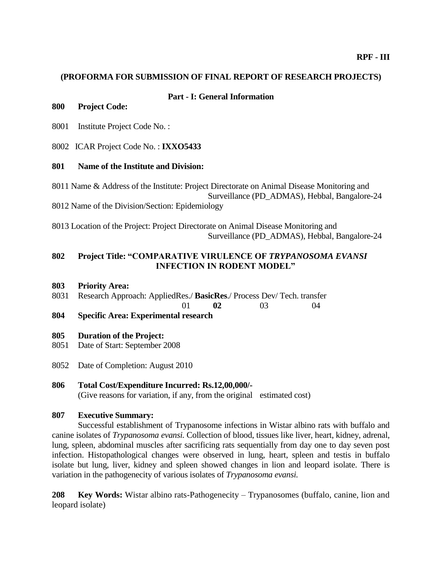## **(PROFORMA FOR SUBMISSION OF FINAL REPORT OF RESEARCH PROJECTS)**

#### **Part - I: General Information**

# **800 Project Code:**

8001 Institute Project Code No. :

8002 ICAR Project Code No. : **IXXO5433**

## **801 Name of the Institute and Division:**

8011 Name & Address of the Institute: Project Directorate on Animal Disease Monitoring and Surveillance (PD\_ADMAS), Hebbal, Bangalore-24 8012 Name of the Division/Section: Epidemiology

8013 Location of the Project: Project Directorate on Animal Disease Monitoring and Surveillance (PD\_ADMAS), Hebbal, Bangalore-24

# **802 Project Title: "COMPARATIVE VIRULENCE OF** *TRYPANOSOMA EVANSI*  **INFECTION IN RODENT MODEL"**

#### **803 Priority Area:**

8031 Research Approach: AppliedRes./ **BasicRes**./ Process Dev/ Tech. transfer

01 **02** 03 04

**804 Specific Area: Experimental research**

### **805 Duration of the Project:**

- 8051 Date of Start: September 2008
- 8052 Date of Completion: August 2010

### **806 Total Cost/Expenditure Incurred: Rs.12,00,000/-**

(Give reasons for variation, if any, from the original estimated cost)

#### **807 Executive Summary:**

Successful establishment of Trypanosome infections in Wistar albino rats with buffalo and canine isolates of *Trypanosoma evansi.* Collection of blood, tissues like liver, heart, kidney, adrenal, lung, spleen, abdominal muscles after sacrificing rats sequentially from day one to day seven post infection. Histopathological changes were observed in lung, heart, spleen and testis in buffalo isolate but lung, liver, kidney and spleen showed changes in lion and leopard isolate. There is variation in the pathogenecity of various isolates of *Trypanosoma evansi.*

**208 Key Words:** Wistar albino rats-Pathogenecity – Trypanosomes (buffalo, canine, lion and leopard isolate)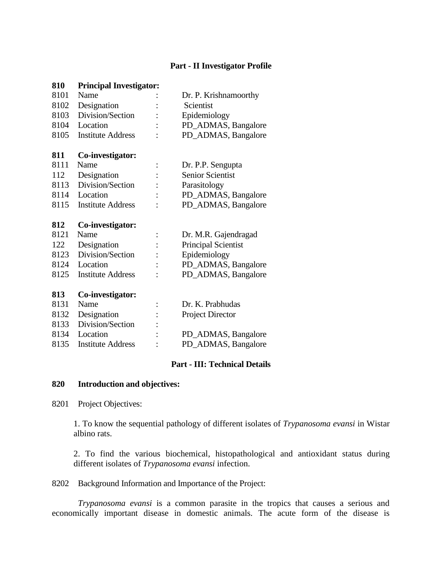# **Part - II Investigator Profile**

| 810  | <b>Principal Investigator:</b> |                            |
|------|--------------------------------|----------------------------|
| 8101 | Name                           | Dr. P. Krishnamoorthy      |
| 8102 | Designation                    | Scientist                  |
| 8103 | Division/Section               | Epidemiology               |
| 8104 | Location                       | PD_ADMAS, Bangalore        |
| 8105 | <b>Institute Address</b>       | PD_ADMAS, Bangalore        |
| 811  | Co-investigator:               |                            |
| 8111 | Name                           | Dr. P.P. Sengupta          |
| 112  | Designation                    | <b>Senior Scientist</b>    |
| 8113 | Division/Section               | Parasitology               |
| 8114 | Location                       | PD_ADMAS, Bangalore        |
| 8115 | <b>Institute Address</b>       | PD_ADMAS, Bangalore        |
|      |                                |                            |
| 812  | Co-investigator:               |                            |
| 8121 | Name                           | Dr. M.R. Gajendragad       |
| 122  | Designation                    | <b>Principal Scientist</b> |
| 8123 | Division/Section               | Epidemiology               |
| 8124 | Location                       | PD_ADMAS, Bangalore        |
| 8125 | <b>Institute Address</b>       | PD_ADMAS, Bangalore        |
| 813  |                                |                            |
| 8131 | Co-investigator:<br>Name       | Dr. K. Prabhudas           |
| 8132 | Designation                    |                            |
| 8133 | Division/Section               | <b>Project Director</b>    |
| 8134 | Location                       | PD_ADMAS, Bangalore        |
| 8135 | <b>Institute Address</b>       | PD_ADMAS, Bangalore        |

### **Part - III: Technical Details**

## **Introduction and objectives:**

8201 Project Objectives:

1. To know the sequential pathology of different isolates of *Trypanosoma evansi* in Wistar albino rats.

2. To find the various biochemical, histopathological and antioxidant status during different isolates of *Trypanosoma evansi* infection.

Background Information and Importance of the Project:

*Trypanosoma evansi* is a common parasite in the tropics that causes a serious and economically important disease in domestic animals. The acute form of the disease is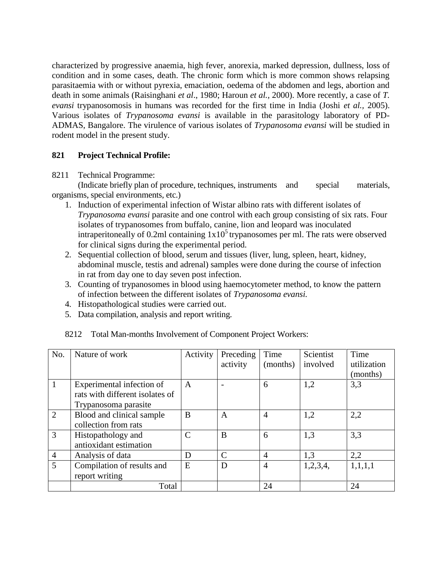characterized by progressive anaemia, high fever, anorexia, marked depression, dullness, loss of condition and in some cases, death. The chronic form which is more common shows relapsing parasitaemia with or without pyrexia, emaciation, oedema of the abdomen and legs, abortion and death in some animals (Raisinghani *et al*., 1980; Haroun *et al.,* 2000). More recently, a case of *T. evansi* trypanosomosis in humans was recorded for the first time in India (Joshi *et al.,* 2005). Various isolates of *Trypanosoma evansi* is available in the parasitology laboratory of PD-ADMAS, Bangalore. The virulence of various isolates of *Trypanosoma evansi* will be studied in rodent model in the present study.

## **821 Project Technical Profile:**

#### 8211 Technical Programme:

(Indicate briefly plan of procedure, techniques, instruments and special materials, organisms, special environments, etc.)

- 1. Induction of experimental infection of Wistar albino rats with different isolates of *Trypanosoma evansi* parasite and one control with each group consisting of six rats. Four isolates of trypanosomes from buffalo, canine, lion and leopard was inoculated intraperitoneally of 0.2ml containing  $1x10<sup>5</sup>$  trypanosomes per ml. The rats were observed for clinical signs during the experimental period.
- 2. Sequential collection of blood, serum and tissues (liver, lung, spleen, heart, kidney, abdominal muscle, testis and adrenal) samples were done during the course of infection in rat from day one to day seven post infection.
- 3. Counting of trypanosomes in blood using haemocytometer method, to know the pattern of infection between the different isolates of *Trypanosoma evansi.*
- 4. Histopathological studies were carried out.
- 5. Data compilation, analysis and report writing.

| No.            | Nature of work                  | Activity     | Preceding    | Time           | Scientist | Time        |
|----------------|---------------------------------|--------------|--------------|----------------|-----------|-------------|
|                |                                 |              | activity     | (months)       | involved  | utilization |
|                |                                 |              |              |                |           | (months)    |
|                | Experimental infection of       | A            |              | 6              | 1,2       | 3,3         |
|                | rats with different isolates of |              |              |                |           |             |
|                | Trypanosoma parasite            |              |              |                |           |             |
| $\overline{2}$ | Blood and clinical sample       | B            | A            | $\overline{4}$ | 1,2       | 2,2         |
|                | collection from rats            |              |              |                |           |             |
| 3              | Histopathology and              | $\mathsf{C}$ | B            | 6              | 1,3       | 3,3         |
|                | antioxidant estimation          |              |              |                |           |             |
| $\overline{4}$ | Analysis of data                | D            | $\mathsf{C}$ | $\overline{4}$ | 1,3       | 2,2         |
| $\overline{5}$ | Compilation of results and      | E            | D            | $\overline{4}$ | 1,2,3,4,  | 1,1,1,1     |
|                | report writing                  |              |              |                |           |             |
|                | Total                           |              |              | 24             |           | 24          |

### 8212 Total Man-months Involvement of Component Project Workers: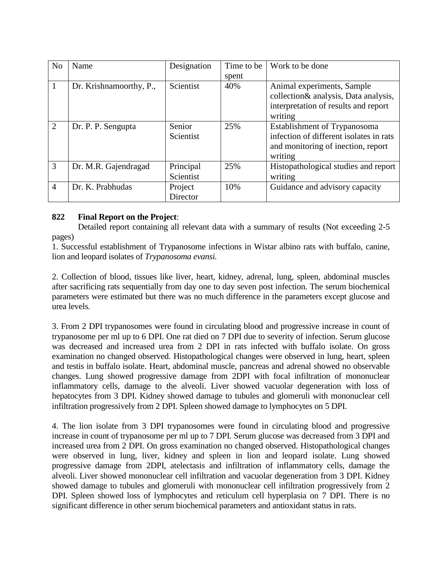| N <sub>0</sub> | Name                    | Designation | Time to be | Work to be done                                 |
|----------------|-------------------------|-------------|------------|-------------------------------------------------|
|                |                         |             | spent      |                                                 |
| 1              | Dr. Krishnamoorthy, P., | Scientist   | 40%        | Animal experiments, Sample                      |
|                |                         |             |            | collection & analysis, Data analysis,           |
|                |                         |             |            | interpretation of results and report<br>writing |
| 2              | Dr. P. P. Sengupta      | Senior      | 25%        | Establishment of Trypanosoma                    |
|                |                         | Scientist   |            | infection of different isolates in rats         |
|                |                         |             |            | and monitoring of inection, report              |
|                |                         |             |            | writing                                         |
| 3              | Dr. M.R. Gajendragad    | Principal   | 25%        | Histopathological studies and report            |
|                |                         | Scientist   |            | writing                                         |
| $\overline{4}$ | Dr. K. Prabhudas        | Project     | 10%        | Guidance and advisory capacity                  |
|                |                         | Director    |            |                                                 |

# **822 Final Report on the Project**:

Detailed report containing all relevant data with a summary of results (Not exceeding 2-5 pages)

1. Successful establishment of Trypanosome infections in Wistar albino rats with buffalo, canine, lion and leopard isolates of *Trypanosoma evansi.*

2. Collection of blood, tissues like liver, heart, kidney, adrenal, lung, spleen, abdominal muscles after sacrificing rats sequentially from day one to day seven post infection. The serum biochemical parameters were estimated but there was no much difference in the parameters except glucose and urea levels.

3. From 2 DPI trypanosomes were found in circulating blood and progressive increase in count of trypanosome per ml up to 6 DPI. One rat died on 7 DPI due to severity of infection. Serum glucose was decreased and increased urea from 2 DPI in rats infected with buffalo isolate. On gross examination no changed observed. Histopathological changes were observed in lung, heart, spleen and testis in buffalo isolate. Heart, abdominal muscle, pancreas and adrenal showed no observable changes. Lung showed progressive damage from 2DPI with focal infiltration of mononuclear inflammatory cells, damage to the alveoli. Liver showed vacuolar degeneration with loss of hepatocytes from 3 DPI. Kidney showed damage to tubules and glomeruli with mononuclear cell infiltration progressively from 2 DPI. Spleen showed damage to lymphocytes on 5 DPI.

4. The lion isolate from 3 DPI trypanosomes were found in circulating blood and progressive increase in count of trypanosome per ml up to 7 DPI. Serum glucose was decreased from 3 DPI and increased urea from 2 DPI. On gross examination no changed observed. Histopathological changes were observed in lung, liver, kidney and spleen in lion and leopard isolate. Lung showed progressive damage from 2DPI, atelectasis and infiltration of inflammatory cells, damage the alveoli. Liver showed mononuclear cell infiltration and vacuolar degeneration from 3 DPI. Kidney showed damage to tubules and glomeruli with mononuclear cell infiltration progressively from 2 DPI. Spleen showed loss of lymphocytes and reticulum cell hyperplasia on 7 DPI. There is no significant difference in other serum biochemical parameters and antioxidant status in rats.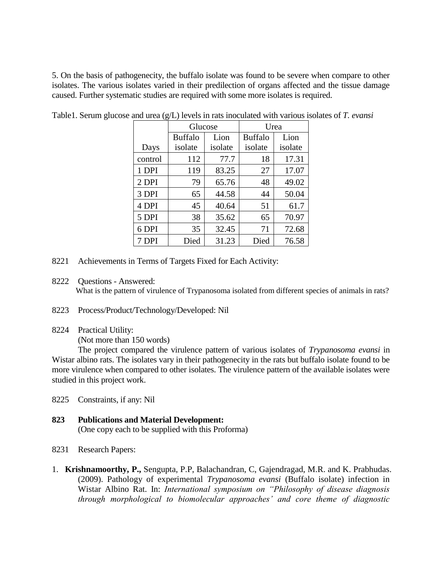5. On the basis of pathogenecity, the buffalo isolate was found to be severe when compare to other isolates. The various isolates varied in their predilection of organs affected and the tissue damage caused. Further systematic studies are required with some more isolates is required.

|         | Glucose        |         | Urea           |         |  |
|---------|----------------|---------|----------------|---------|--|
|         | <b>Buffalo</b> | Lion    | <b>Buffalo</b> | Lion    |  |
| Days    | isolate        | isolate | isolate        | isolate |  |
| control | 112            | 77.7    | 18             | 17.31   |  |
| 1 DPI   | 119            | 83.25   | 27             | 17.07   |  |
| 2 DPI   | 79             | 65.76   | 48             | 49.02   |  |
| 3 DPI   | 65             | 44.58   | 44             | 50.04   |  |
| 4 DPI   | 45             | 40.64   | 51             | 61.7    |  |
| 5 DPI   | 38             | 35.62   | 65             | 70.97   |  |
| 6 DPI   | 35             | 32.45   | 71             | 72.68   |  |
| 7 DPI   | Died           | 31.23   | Died           | 76.58   |  |

Table1. Serum glucose and urea (g/L) levels in rats inoculated with various isolates of *T. evansi*

- 8221 Achievements in Terms of Targets Fixed for Each Activity:
- 8222 Questions Answered:

What is the pattern of virulence of Trypanosoma isolated from different species of animals in rats?

- 8223 Process/Product/Technology/Developed: Nil
- 8224 Practical Utility:

(Not more than 150 words)

The project compared the virulence pattern of various isolates of *Trypanosoma evansi* in Wistar albino rats. The isolates vary in their pathogenecity in the rats but buffalo isolate found to be more virulence when compared to other isolates. The virulence pattern of the available isolates were studied in this project work.

- 8225 Constraints, if any: Nil
- **823 Publications and Material Development:** (One copy each to be supplied with this Proforma)
- 8231 Research Papers:
- 1. **Krishnamoorthy, P.,** Sengupta, P.P, Balachandran, C, Gajendragad, M.R. and K. Prabhudas. (2009). Pathology of experimental *Trypanosoma evansi* (Buffalo isolate) infection in Wistar Albino Rat. In: *International symposium on "Philosophy of disease diagnosis through morphological to biomolecular approaches' and core theme of diagnostic*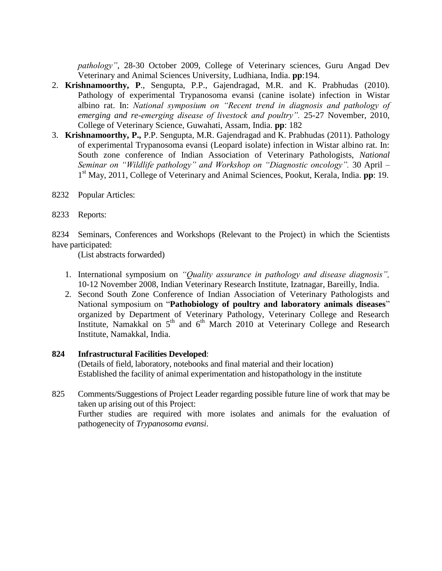*pathology"*, 28-30 October 2009, College of Veterinary sciences, Guru Angad Dev Veterinary and Animal Sciences University, Ludhiana, India. **pp**:194.

- 2. **Krishnamoorthy, P**., Sengupta, P.P., Gajendragad, M.R. and K. Prabhudas (2010). Pathology of experimental Trypanosoma evansi (canine isolate) infection in Wistar albino rat. In: *National symposium on "Recent trend in diagnosis and pathology of emerging and re-emerging disease of livestock and poultry".* 25-27 November, 2010, College of Veterinary Science, Guwahati, Assam, India. **pp**: 182
- 3. **Krishnamoorthy, P.,** P.P. Sengupta, M.R. Gajendragad and K. Prabhudas (2011). Pathology of experimental Trypanosoma evansi (Leopard isolate) infection in Wistar albino rat. In: South zone conference of Indian Association of Veterinary Pathologists, *National Seminar on "Wildlife pathology" and Workshop on "Diagnostic oncology".* 30 April – 1 st May, 2011, College of Veterinary and Animal Sciences, Pookut, Kerala, India. **pp**: 19.
- 8232 Popular Articles:
- 8233 Reports:

8234 Seminars, Conferences and Workshops (Relevant to the Project) in which the Scientists have participated:

(List abstracts forwarded)

- 1. International symposium on *"Quality assurance in pathology and disease diagnosis",* 10-12 November 2008, Indian Veterinary Research Institute, Izatnagar, Bareilly, India.
- 2. Second South Zone Conference of Indian Association of Veterinary Pathologists and National symposium on "**Pathobiology of poultry and laboratory animals diseases**" organized by Department of Veterinary Pathology, Veterinary College and Research Institute, Namakkal on 5<sup>th</sup> and 6<sup>th</sup> March 2010 at Veterinary College and Research Institute, Namakkal, India.

## **824 Infrastructural Facilities Developed**:

(Details of field, laboratory, notebooks and final material and their location) Established the facility of animal experimentation and histopathology in the institute

825 Comments/Suggestions of Project Leader regarding possible future line of work that may be taken up arising out of this Project: Further studies are required with more isolates and animals for the evaluation of pathogenecity of *Trypanosoma evansi*.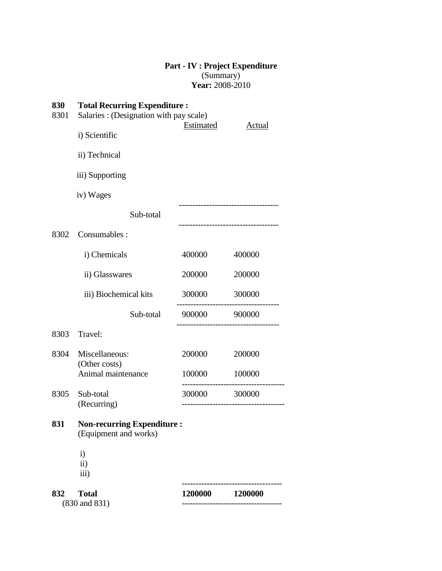# **Part - IV : Project Expenditure** (Summary) **Year:** 2008-2010

| 830<br>8301 | <b>Total Recurring Expenditure:</b><br>Salaries : (Designation with pay scale) |               |               |  |
|-------------|--------------------------------------------------------------------------------|---------------|---------------|--|
|             | i) Scientific                                                                  | Estimated     | <b>Actual</b> |  |
|             | ii) Technical                                                                  |               |               |  |
|             | iii) Supporting                                                                |               |               |  |
|             | iv) Wages                                                                      |               |               |  |
|             | Sub-total                                                                      |               |               |  |
| 8302        | Consumables:                                                                   |               |               |  |
|             | i) Chemicals                                                                   | 400000        | 400000        |  |
|             | ii) Glasswares                                                                 | 200000        | 200000        |  |
|             | iii) Biochemical kits                                                          | 300000        | 300000        |  |
|             | Sub-total                                                                      | 900000 900000 |               |  |
| 8303        | Travel:                                                                        |               |               |  |
| 8304        | Miscellaneous:                                                                 | 200000        | 200000        |  |
|             | (Other costs)<br>Animal maintenance                                            | 100000        | 100000        |  |
| 8305        | Sub-total<br>(Recurring)                                                       | 300000        | 300000        |  |
|             |                                                                                |               |               |  |
| 831         | <b>Non-recurring Expenditure:</b><br>(Equipment and works)                     |               |               |  |
|             | $\mathbf{i}$                                                                   |               |               |  |
|             | ii)<br>iii)                                                                    |               |               |  |
| 832         | <b>Total</b>                                                                   | 1200000       | 1200000       |  |
|             | (830 and 831)                                                                  |               |               |  |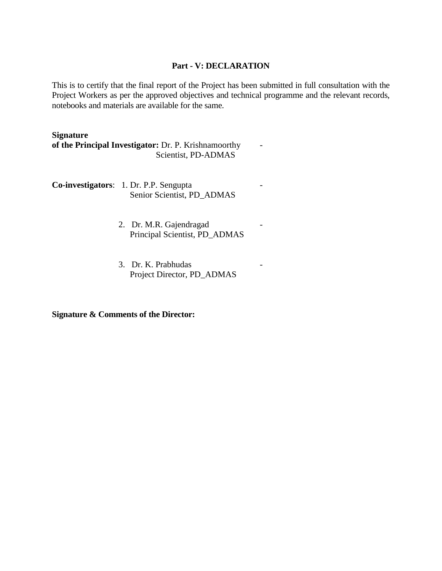#### **Part - V: DECLARATION**

This is to certify that the final report of the Project has been submitted in full consultation with the Project Workers as per the approved objectives and technical programme and the relevant records, notebooks and materials are available for the same.

### **Signature**

**of the Principal Investigator:** Dr. P. Krishnamoorthy - Scientist, PD-ADMAS

**Co-investigators**: 1. Dr. P.P. Sengupta - Senior Scientist, PD\_ADMAS

- 2. Dr. M.R. Gajendragad Principal Scientist, PD\_ADMAS
- 3. Dr. K. Prabhudas Project Director, PD\_ADMAS

**Signature & Comments of the Director:**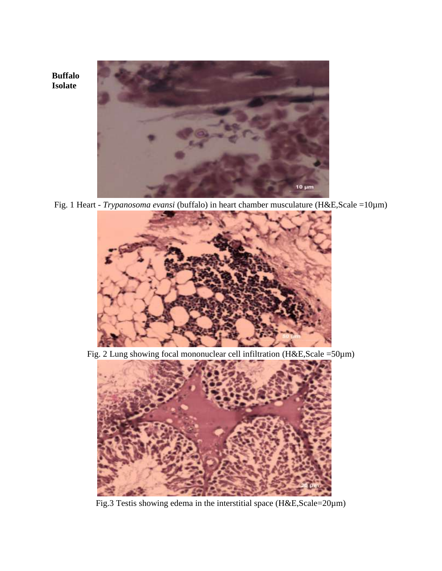

**Buffalo Isolate**

Fig. 1 Heart - *Trypanosoma evansi* (buffalo) in heart chamber musculature (H&E,Scale =10µm)



Fig. 2 Lung showing focal mononuclear cell infiltration (H&E,Scale =50µm)



Fig.3 Testis showing edema in the interstitial space (H&E,Scale=20µm)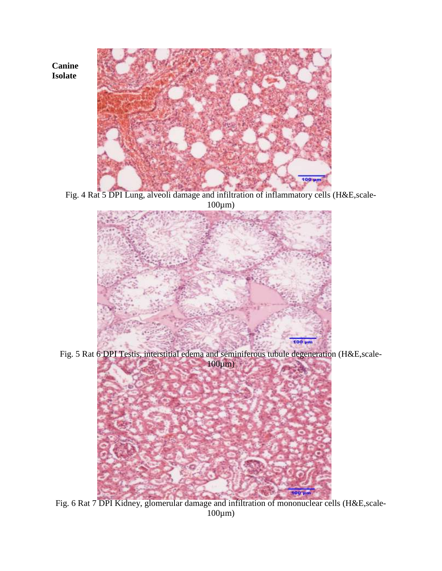**Canine Isolate**



Fig. 4 Rat 5 DPI Lung, alveoli damage and infiltration of inflammatory cells (H&E,scale-100µm)



Fig. 5 Rat 6 DPI Testis, interstitial edema and seminiferous tubule degeneration (H&E,scale-100µm)



Fig. 6 Rat 7 DPI Kidney, glomerular damage and infiltration of mononuclear cells (H&E,scale-100µm)